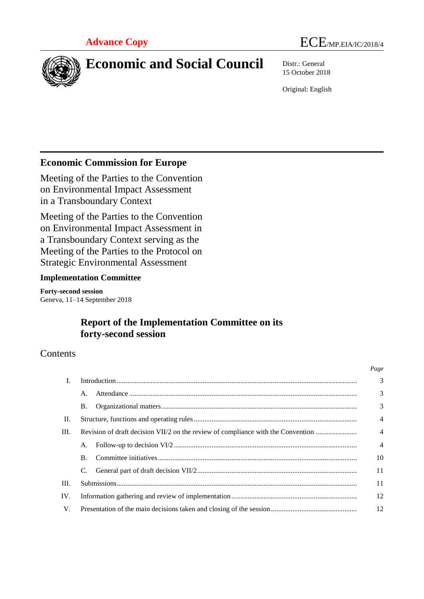



# **Economic and Social Council** Distr.: General

15 October 2018

Original: English

# **Economic Commission for Europe**

Meeting of the Parties to the Convention on Environmental Impact Assessment in a Transboundary Context

Meeting of the Parties to the Convention on Environmental Impact Assessment in a Transboundary Context serving as the Meeting of the Parties to the Protocol on Strategic Environmental Assessment

### **Implementation Committee**

**Forty-second session**  Geneva, 11–14 September 2018

# **Report of the Implementation Committee on its forty-second session**

# Contents

|      |                                                                                  |  | Page           |
|------|----------------------------------------------------------------------------------|--|----------------|
| I.   |                                                                                  |  | $\overline{3}$ |
|      | $\mathsf{A}$ .                                                                   |  | $\overline{3}$ |
|      | Β.                                                                               |  | 3              |
| II.  |                                                                                  |  | $\overline{4}$ |
| III. | Revision of draft decision VII/2 on the review of compliance with the Convention |  |                |
|      | A.                                                                               |  | $\overline{4}$ |
|      | $\bf{B}$ .                                                                       |  | 10             |
|      |                                                                                  |  | 11             |
| III. |                                                                                  |  | 11             |
| IV.  |                                                                                  |  | 12             |
| V.   |                                                                                  |  |                |
|      |                                                                                  |  |                |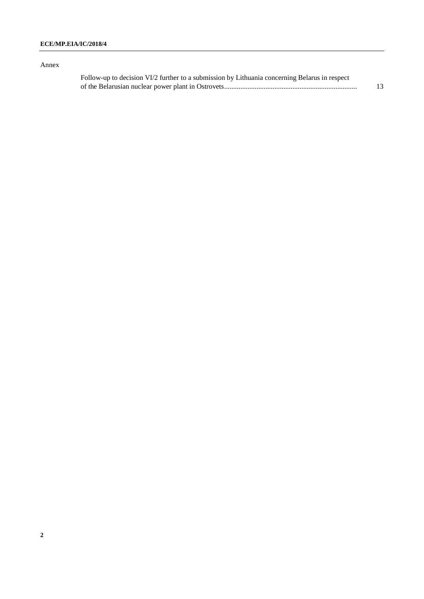### Annex

| Follow-up to decision VI/2 further to a submission by Lithuania concerning Belarus in respect |  |
|-----------------------------------------------------------------------------------------------|--|
|                                                                                               |  |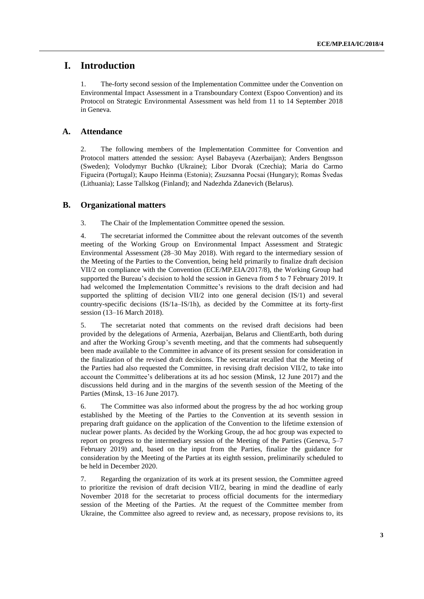### **I. Introduction**

1. The-forty second session of the Implementation Committee under the Convention on Environmental Impact Assessment in a Transboundary Context (Espoo Convention) and its Protocol on Strategic Environmental Assessment was held from 11 to 14 September 2018 in Geneva.

### **A. Attendance**

2. The following members of the Implementation Committee for Convention and Protocol matters attended the session: Aysel Babayeva (Azerbaijan); Anders Bengtsson (Sweden); Volodymyr Buchko (Ukraine); Libor Dvorak (Czechia); Maria do Carmo Figueira (Portugal); Kaupo Heinma (Estonia); Zsuzsanna Pocsai (Hungary); Romas Švedas (Lithuania); Lasse Tallskog (Finland); and Nadezhda Zdanevich (Belarus).

### **B. Organizational matters**

3. The Chair of the Implementation Committee opened the session.

4. The secretariat informed the Committee about the relevant outcomes of the seventh meeting of the Working Group on Environmental Impact Assessment and Strategic Environmental Assessment (28–30 May 2018). With regard to the intermediary session of the Meeting of the Parties to the Convention, being held primarily to finalize draft decision VII/2 on compliance with the Convention (ECE/MP.EIA/2017/8), the Working Group had supported the Bureau's decision to hold the session in Geneva from 5 to 7 February 2019. It had welcomed the Implementation Committee's revisions to the draft decision and had supported the splitting of decision VII/2 into one general decision (IS/1) and several country-specific decisions (IS/1a–IS/1h), as decided by the Committee at its forty-first session (13–16 March 2018).

5. The secretariat noted that comments on the revised draft decisions had been provided by the delegations of Armenia, Azerbaijan, Belarus and ClientEarth, both during and after the Working Group's seventh meeting, and that the comments had subsequently been made available to the Committee in advance of its present session for consideration in the finalization of the revised draft decisions. The secretariat recalled that the Meeting of the Parties had also requested the Committee, in revising draft decision VII/2, to take into account the Committee's deliberations at its ad hoc session (Minsk, 12 June 2017) and the discussions held during and in the margins of the seventh session of the Meeting of the Parties (Minsk, 13–16 June 2017).

6. The Committee was also informed about the progress by the ad hoc working group established by the Meeting of the Parties to the Convention at its seventh session in preparing draft guidance on the application of the Convention to the lifetime extension of nuclear power plants. As decided by the Working Group, the ad hoc group was expected to report on progress to the intermediary session of the Meeting of the Parties (Geneva, 5–7 February 2019) and, based on the input from the Parties, finalize the guidance for consideration by the Meeting of the Parties at its eighth session, preliminarily scheduled to be held in December 2020.

7. Regarding the organization of its work at its present session, the Committee agreed to prioritize the revision of draft decision VII/2, bearing in mind the deadline of early November 2018 for the secretariat to process official documents for the intermediary session of the Meeting of the Parties. At the request of the Committee member from Ukraine, the Committee also agreed to review and, as necessary, propose revisions to, its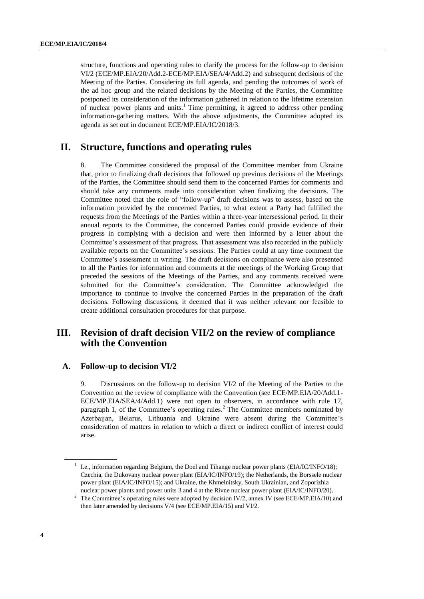structure, functions and operating rules to clarify the process for the follow-up to decision VI/2 (ECE/MP.EIA/20/Add.2-ECE/MP.EIA/SEA/4/Add.2) and subsequent decisions of the Meeting of the Parties. Considering its full agenda, and pending the outcomes of work of the ad hoc group and the related decisions by the Meeting of the Parties, the Committee postponed its consideration of the information gathered in relation to the lifetime extension of nuclear power plants and units.<sup>1</sup> Time permitting, it agreed to address other pending information-gathering matters. With the above adjustments, the Committee adopted its agenda as set out in document ECE/MP.EIA/IC/2018/3.

## **II. Structure, functions and operating rules**

8. The Committee considered the proposal of the Committee member from Ukraine that, prior to finalizing draft decisions that followed up previous decisions of the Meetings of the Parties, the Committee should send them to the concerned Parties for comments and should take any comments made into consideration when finalizing the decisions. The Committee noted that the role of "follow-up" draft decisions was to assess, based on the information provided by the concerned Parties, to what extent a Party had fulfilled the requests from the Meetings of the Parties within a three-year intersessional period. In their annual reports to the Committee, the concerned Parties could provide evidence of their progress in complying with a decision and were then informed by a letter about the Committee's assessment of that progress. That assessment was also recorded in the publicly available reports on the Committee's sessions. The Parties could at any time comment the Committee's assessment in writing. The draft decisions on compliance were also presented to all the Parties for information and comments at the meetings of the Working Group that preceded the sessions of the Meetings of the Parties, and any comments received were submitted for the Committee's consideration. The Committee acknowledged the importance to continue to involve the concerned Parties in the preparation of the draft decisions. Following discussions, it deemed that it was neither relevant nor feasible to create additional consultation procedures for that purpose.

# **III. Revision of draft decision VII/2 on the review of compliance with the Convention**

#### **A. Follow-up to decision VI/2**

9. Discussions on the follow-up to decision VI/2 of the Meeting of the Parties to the Convention on the review of compliance with the Convention (see ECE/MP.EIA/20/Add.1- ECE/MP.EIA/SEA/4/Add.1) were not open to observers, in accordance with rule 17, paragraph 1, of the Committee's operating rules.<sup>2</sup> The Committee members nominated by Azerbaijan, Belarus, Lithuania and Ukraine were absent during the Committee's consideration of matters in relation to which a direct or indirect conflict of interest could arise.

<sup>&</sup>lt;sup>1</sup> I.e., information regarding Belgium, the Doel and Tihange nuclear power plants (EIA/IC/INFO/18); Czechia, the Dukovany nuclear power plant (EIA/IC/INFO/19); the Netherlands, the Borssele nuclear power plant (EIA/IC/INFO/15); and Ukraine, the Khmelnitsky, South Ukrainian, and Zoporizhia nuclear power plants and power units 3 and 4 at the Rivne nuclear power plant (EIA/IC/INFO/20).

<sup>&</sup>lt;sup>2</sup> The Committee's operating rules were adopted by decision IV/2, annex IV (see ECE/MP.EIA/10) and then later amended by decisions V/4 (see ECE/MP.EIA/15) and VI/2.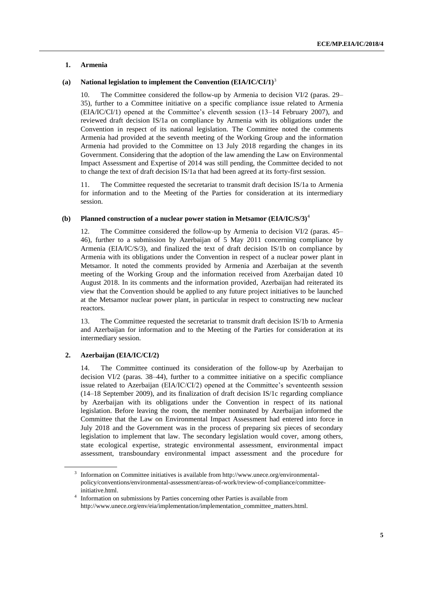#### **1. Armenia**

#### **(a) National legislation to implement the Convention (EIA/IC/CI/1)**<sup>3</sup>

10. The Committee considered the follow-up by Armenia to decision VI/2 (paras. 29– 35), further to a Committee initiative on a specific compliance issue related to Armenia (EIA/IC/CI/1) opened at the Committee's eleventh session (13–14 February 2007), and reviewed draft decision IS/1a on compliance by Armenia with its obligations under the Convention in respect of its national legislation. The Committee noted the comments Armenia had provided at the seventh meeting of the Working Group and the information Armenia had provided to the Committee on 13 July 2018 regarding the changes in its Government. Considering that the adoption of the law amending the Law on Environmental Impact Assessment and Expertise of 2014 was still pending, the Committee decided to not to change the text of draft decision IS/1a that had been agreed at its forty-first session.

11. The Committee requested the secretariat to transmit draft decision IS/1a to Armenia for information and to the Meeting of the Parties for consideration at its intermediary session.

#### **(b) Planned construction of a nuclear power station in Metsamor (EIA/IC/S/3)**<sup>4</sup>

12. The Committee considered the follow-up by Armenia to decision VI/2 (paras. 45– 46), further to a submission by Azerbaijan of 5 May 2011 concerning compliance by Armenia (EIA/IC/S/3), and finalized the text of draft decision IS/1b on compliance by Armenia with its obligations under the Convention in respect of a nuclear power plant in Metsamor. It noted the comments provided by Armenia and Azerbaijan at the seventh meeting of the Working Group and the information received from Azerbaijan dated 10 August 2018. In its comments and the information provided, Azerbaijan had reiterated its view that the Convention should be applied to any future project initiatives to be launched at the Metsamor nuclear power plant, in particular in respect to constructing new nuclear reactors.

13. The Committee requested the secretariat to transmit draft decision IS/1b to Armenia and Azerbaijan for information and to the Meeting of the Parties for consideration at its intermediary session.

#### **2. Azerbaijan (EIA/IC/CI/2)**

14. The Committee continued its consideration of the follow-up by Azerbaijan to decision VI/2 (paras. 38–44), further to a committee initiative on a specific compliance issue related to Azerbaijan (EIA/IC/CI/2) opened at the Committee's seventeenth session (14–18 September 2009), and its finalization of draft decision IS/1c regarding compliance by Azerbaijan with its obligations under the Convention in respect of its national legislation. Before leaving the room, the member nominated by Azerbaijan informed the Committee that the Law on Environmental Impact Assessment had entered into force in July 2018 and the Government was in the process of preparing six pieces of secondary legislation to implement that law. The secondary legislation would cover, among others, state ecological expertise, strategic environmental assessment, environmental impact assessment, transboundary environmental impact assessment and the procedure for

<sup>&</sup>lt;sup>3</sup> Information on Committee initiatives is available fro[m http://www.unece.org/environmental](http://www.unece.org/environmental-policy/conventions/environmental-assessment/areas-of-work/review-of-compliance/committee-initiative.html)[policy/conventions/environmental-assessment/areas-of-work/review-of-compliance/committee](http://www.unece.org/environmental-policy/conventions/environmental-assessment/areas-of-work/review-of-compliance/committee-initiative.html)[initiative.html.](http://www.unece.org/environmental-policy/conventions/environmental-assessment/areas-of-work/review-of-compliance/committee-initiative.html)

<sup>4</sup> Information on submissions by Parties concerning other Parties is available from [http://www.unece.org/env/eia/implementation/implementation\\_committee\\_matters.html.](http://www.unece.org/env/eia/implementation/implementation_committee_matters.html)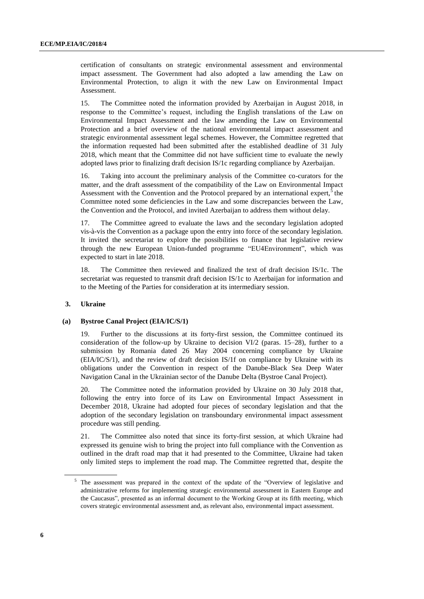certification of consultants on strategic environmental assessment and environmental impact assessment. The Government had also adopted a law amending the Law on Environmental Protection, to align it with the new Law on Environmental Impact Assessment.

15. The Committee noted the information provided by Azerbaijan in August 2018, in response to the Committee's request, including the English translations of the Law on Environmental Impact Assessment and the law amending the Law on Environmental Protection and a brief overview of the national environmental impact assessment and strategic environmental assessment legal schemes. However, the Committee regretted that the information requested had been submitted after the established deadline of 31 July 2018, which meant that the Committee did not have sufficient time to evaluate the newly adopted laws prior to finalizing draft decision IS/1c regarding compliance by Azerbaijan.

16. Taking into account the preliminary analysis of the Committee co-curators for the matter, and the draft assessment of the compatibility of the Law on Environmental Impact Assessment with the Convention and the Protocol prepared by an international expert, $5$  the Committee noted some deficiencies in the Law and some discrepancies between the Law, the Convention and the Protocol, and invited Azerbaijan to address them without delay.

17. The Committee agreed to evaluate the laws and the secondary legislation adopted vis-à-vis the Convention as a package upon the entry into force of the secondary legislation. It invited the secretariat to explore the possibilities to finance that legislative review through the new European Union-funded programme "EU4Environment", which was expected to start in late 2018.

The Committee then reviewed and finalized the text of draft decision IS/1c. The secretariat was requested to transmit draft decision IS/1c to Azerbaijan for information and to the Meeting of the Parties for consideration at its intermediary session.

#### **3. Ukraine**

#### **(a) Bystroe Canal Project (EIA/IC/S/1)**

Further to the discussions at its forty-first session, the Committee continued its consideration of the follow-up by Ukraine to decision VI/2 (paras. 15–28), further to a submission by Romania dated 26 May 2004 concerning compliance by Ukraine (EIA/IC/S/1), and the review of draft decision IS/1f on compliance by Ukraine with its obligations under the Convention in respect of the Danube-Black Sea Deep Water Navigation Canal in the Ukrainian sector of the Danube Delta (Bystroe Canal Project).

20. The Committee noted the information provided by Ukraine on 30 July 2018 that, following the entry into force of its Law on Environmental Impact Assessment in December 2018, Ukraine had adopted four pieces of secondary legislation and that the adoption of the secondary legislation on transboundary environmental impact assessment procedure was still pending.

21. The Committee also noted that since its forty-first session, at which Ukraine had expressed its genuine wish to bring the project into full compliance with the Convention as outlined in the draft road map that it had presented to the Committee, Ukraine had taken only limited steps to implement the road map. The Committee regretted that, despite the

<sup>&</sup>lt;sup>5</sup> The assessment was prepared in the context of the update of the "Overview of legislative and administrative reforms for implementing strategic environmental assessment in Eastern Europe and the Caucasus", presented as an informal document to the Working Group at its fifth meeting, which covers strategic environmental assessment and, as relevant also, environmental impact assessment.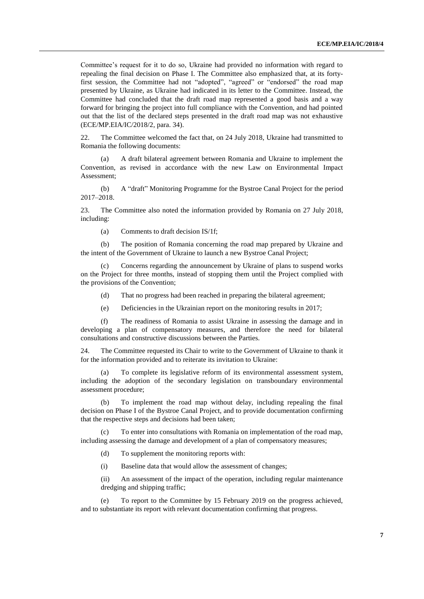Committee's request for it to do so, Ukraine had provided no information with regard to repealing the final decision on Phase I. The Committee also emphasized that, at its fortyfirst session, the Committee had not "adopted", "agreed" or "endorsed" the road map presented by Ukraine, as Ukraine had indicated in its letter to the Committee. Instead, the Committee had concluded that the draft road map represented a good basis and a way forward for bringing the project into full compliance with the Convention, and had pointed out that the list of the declared steps presented in the draft road map was not exhaustive (ECE/MP.EIA/IC/2018/2, para. 34).

22. The Committee welcomed the fact that, on 24 July 2018, Ukraine had transmitted to Romania the following documents:

(a) A draft bilateral agreement between Romania and Ukraine to implement the Convention, as revised in accordance with the new Law on Environmental Impact Assessment;

(b) A "draft" Monitoring Programme for the Bystroe Canal Project for the period 2017–2018.

23. The Committee also noted the information provided by Romania on 27 July 2018, including:

(a) Comments to draft decision IS/1f;

(b) The position of Romania concerning the road map prepared by Ukraine and the intent of the Government of Ukraine to launch a new Bystroe Canal Project;

Concerns regarding the announcement by Ukraine of plans to suspend works on the Project for three months, instead of stopping them until the Project complied with the provisions of the Convention;

- (d) That no progress had been reached in preparing the bilateral agreement;
- (e) Deficiencies in the Ukrainian report on the monitoring results in 2017;

(f) The readiness of Romania to assist Ukraine in assessing the damage and in developing a plan of compensatory measures, and therefore the need for bilateral consultations and constructive discussions between the Parties.

24. The Committee requested its Chair to write to the Government of Ukraine to thank it for the information provided and to reiterate its invitation to Ukraine:

(a) To complete its legislative reform of its environmental assessment system, including the adoption of the secondary legislation on transboundary environmental assessment procedure;

(b) To implement the road map without delay, including repealing the final decision on Phase I of the Bystroe Canal Project, and to provide documentation confirming that the respective steps and decisions had been taken;

(c) To enter into consultations with Romania on implementation of the road map, including assessing the damage and development of a plan of compensatory measures;

- (d) To supplement the monitoring reports with:
- (i) Baseline data that would allow the assessment of changes;

(ii) An assessment of the impact of the operation, including regular maintenance dredging and shipping traffic;

(e) To report to the Committee by 15 February 2019 on the progress achieved, and to substantiate its report with relevant documentation confirming that progress.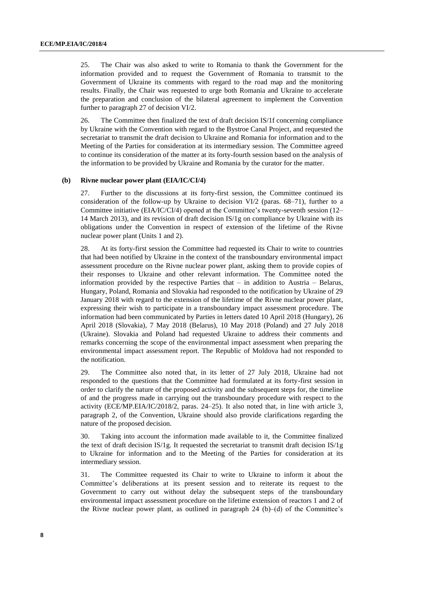25. The Chair was also asked to write to Romania to thank the Government for the information provided and to request the Government of Romania to transmit to the Government of Ukraine its comments with regard to the road map and the monitoring results. Finally, the Chair was requested to urge both Romania and Ukraine to accelerate the preparation and conclusion of the bilateral agreement to implement the Convention further to paragraph 27 of decision VI/2.

26. The Committee then finalized the text of draft decision IS/1f concerning compliance by Ukraine with the Convention with regard to the Bystroe Canal Project, and requested the secretariat to transmit the draft decision to Ukraine and Romania for information and to the Meeting of the Parties for consideration at its intermediary session. The Committee agreed to continue its consideration of the matter at its forty-fourth session based on the analysis of the information to be provided by Ukraine and Romania by the curator for the matter.

#### **(b) Rivne nuclear power plant (EIA/IC/CI/4)**

27. Further to the discussions at its forty-first session, the Committee continued its consideration of the follow-up by Ukraine to decision VI/2 (paras. 68–71), further to a Committee initiative (EIA/IC/CI/4) opened at the Committee's twenty-seventh session (12– 14 March 2013), and its revision of draft decision IS/1g on compliance by Ukraine with its obligations under the Convention in respect of extension of the lifetime of the Rivne nuclear power plant (Units 1 and 2).

28. At its forty-first session the Committee had requested its Chair to write to countries that had been notified by Ukraine in the context of the transboundary environmental impact assessment procedure on the Rivne nuclear power plant, asking them to provide copies of their responses to Ukraine and other relevant information. The Committee noted the information provided by the respective Parties that  $-$  in addition to Austria  $-$  Belarus, Hungary, Poland, Romania and Slovakia had responded to the notification by Ukraine of 29 January 2018 with regard to the extension of the lifetime of the Rivne nuclear power plant, expressing their wish to participate in a transboundary impact assessment procedure. The information had been communicated by Parties in letters dated 10 April 2018 (Hungary), 26 April 2018 (Slovakia), 7 May 2018 (Belarus), 10 May 2018 (Poland) and 27 July 2018 (Ukraine). Slovakia and Poland had requested Ukraine to address their comments and remarks concerning the scope of the environmental impact assessment when preparing the environmental impact assessment report. The Republic of Moldova had not responded to the notification.

29. The Committee also noted that, in its letter of 27 July 2018, Ukraine had not responded to the questions that the Committee had formulated at its forty-first session in order to clarify the nature of the proposed activity and the subsequent steps for, the timeline of and the progress made in carrying out the transboundary procedure with respect to the activity (ECE/MP.EIA/IC/2018/2, paras. 24–25). It also noted that, in line with article 3, paragraph 2, of the Convention, Ukraine should also provide clarifications regarding the nature of the proposed decision.

30. Taking into account the information made available to it, the Committee finalized the text of draft decision IS/1g. It requested the secretariat to transmit draft decision IS/1g to Ukraine for information and to the Meeting of the Parties for consideration at its intermediary session.

31. The Committee requested its Chair to write to Ukraine to inform it about the Committee's deliberations at its present session and to reiterate its request to the Government to carry out without delay the subsequent steps of the transboundary environmental impact assessment procedure on the lifetime extension of reactors 1 and 2 of the Rivne nuclear power plant, as outlined in paragraph 24 (b)–(d) of the Committee's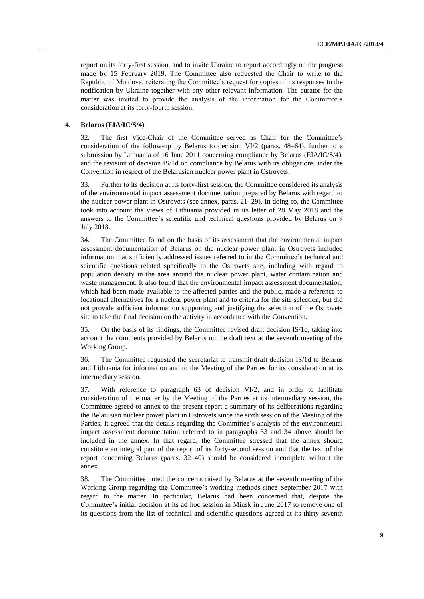report on its forty-first session, and to invite Ukraine to report accordingly on the progress made by 15 February 2019. The Committee also requested the Chair to write to the Republic of Moldova, reiterating the Committee's request for copies of its responses to the notification by Ukraine together with any other relevant information. The curator for the matter was invited to provide the analysis of the information for the Committee's consideration at its forty-fourth session.

#### **4. Belarus (EIA/IC/S/4)**

32. The first Vice-Chair of the Committee served as Chair for the Committee's consideration of the follow-up by Belarus to decision VI/2 (paras. 48–64), further to a submission by Lithuania of 16 June 2011 concerning compliance by Belarus (EIA/IC/S/4), and the revision of decision IS/1d on compliance by Belarus with its obligations under the Convention in respect of the Belarusian nuclear power plant in Ostrovets.

33. Further to its decision at its forty-first session, the Committee considered its analysis of the environmental impact assessment documentation prepared by Belarus with regard to the nuclear power plant in Ostrovets (see annex, paras. 21–29). In doing so, the Committee took into account the views of Lithuania provided in its letter of 28 May 2018 and the answers to the Committee's scientific and technical questions provided by Belarus on 9 July 2018.

34. The Committee found on the basis of its assessment that the environmental impact assessment documentation of Belarus on the nuclear power plant in Ostrovets included information that sufficiently addressed issues referred to in the Committee's technical and scientific questions related specifically to the Ostrovets site, including with regard to population density in the area around the nuclear power plant, water contamination and waste management. It also found that the environmental impact assessment documentation, which had been made available to the affected parties and the public, made a reference to locational alternatives for a nuclear power plant and to criteria for the site selection, but did not provide sufficient information supporting and justifying the selection of the Ostrovets site to take the final decision on the activity in accordance with the Convention.

35. On the basis of its findings, the Committee revised draft decision IS/1d, taking into account the comments provided by Belarus on the draft text at the seventh meeting of the Working Group.

36. The Committee requested the secretariat to transmit draft decision IS/1d to Belarus and Lithuania for information and to the Meeting of the Parties for its consideration at its intermediary session.

37. With reference to paragraph 63 of decision VI/2, and in order to facilitate consideration of the matter by the Meeting of the Parties at its intermediary session, the Committee agreed to annex to the present report a summary of its deliberations regarding the Belarusian nuclear power plant in Ostrovets since the sixth session of the Meeting of the Parties. It agreed that the details regarding the Committee's analysis of the environmental impact assessment documentation referred to in paragraphs 33 and 34 above should be included in the annex. In that regard, the Committee stressed that the annex should constitute an integral part of the report of its forty-second session and that the text of the report concerning Belarus (paras. 32–40) should be considered incomplete without the annex.

38. The Committee noted the concerns raised by Belarus at the seventh meeting of the Working Group regarding the Committee's working methods since September 2017 with regard to the matter. In particular, Belarus had been concerned that, despite the Committee's initial decision at its ad hoc session in Minsk in June 2017 to remove one of its questions from the list of technical and scientific questions agreed at its thirty-seventh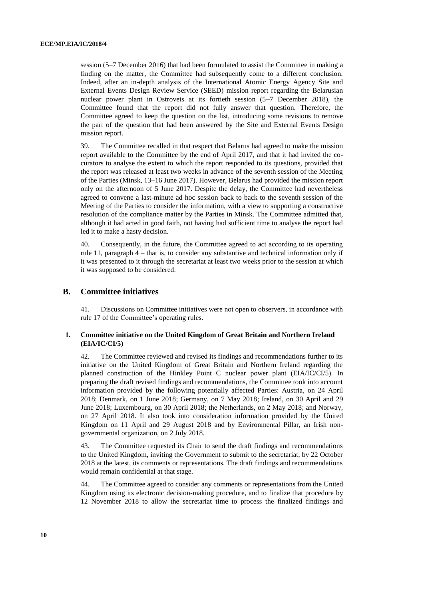session (5–7 December 2016) that had been formulated to assist the Committee in making a finding on the matter, the Committee had subsequently come to a different conclusion. Indeed, after an in-depth analysis of the International Atomic Energy Agency Site and External Events Design Review Service (SEED) mission report regarding the Belarusian nuclear power plant in Ostrovets at its fortieth session (5–7 December 2018), the Committee found that the report did not fully answer that question. Therefore, the Committee agreed to keep the question on the list, introducing some revisions to remove the part of the question that had been answered by the Site and External Events Design mission report.

39. The Committee recalled in that respect that Belarus had agreed to make the mission report available to the Committee by the end of April 2017, and that it had invited the cocurators to analyse the extent to which the report responded to its questions, provided that the report was released at least two weeks in advance of the seventh session of the Meeting of the Parties (Minsk, 13–16 June 2017). However, Belarus had provided the mission report only on the afternoon of 5 June 2017. Despite the delay, the Committee had nevertheless agreed to convene a last-minute ad hoc session back to back to the seventh session of the Meeting of the Parties to consider the information, with a view to supporting a constructive resolution of the compliance matter by the Parties in Minsk. The Committee admitted that, although it had acted in good faith, not having had sufficient time to analyse the report had led it to make a hasty decision.

40. Consequently, in the future, the Committee agreed to act according to its operating rule 11, paragraph 4 – that is, to consider any substantive and technical information only if it was presented to it through the secretariat at least two weeks prior to the session at which it was supposed to be considered.

### **B. Committee initiatives**

41. Discussions on Committee initiatives were not open to observers, in accordance with rule 17 of the Committee's operating rules.

#### **1. Committee initiative on the United Kingdom of Great Britain and Northern Ireland (EIA/IC/CI/5)**

42. The Committee reviewed and revised its findings and recommendations further to its initiative on the United Kingdom of Great Britain and Northern Ireland regarding the planned construction of the Hinkley Point C nuclear power plant (EIA/IC/CI/5). In preparing the draft revised findings and recommendations, the Committee took into account information provided by the following potentially affected Parties: Austria, on 24 April 2018; Denmark, on 1 June 2018; Germany, on 7 May 2018; Ireland, on 30 April and 29 June 2018; Luxembourg, on 30 April 2018; the Netherlands, on 2 May 2018; and Norway, on 27 April 2018. It also took into consideration information provided by the United Kingdom on 11 April and 29 August 2018 and by Environmental Pillar, an Irish nongovernmental organization, on 2 July 2018.

43. The Committee requested its Chair to send the draft findings and recommendations to the United Kingdom, inviting the Government to submit to the secretariat, by 22 October 2018 at the latest, its comments or representations. The draft findings and recommendations would remain confidential at that stage.

44. The Committee agreed to consider any comments or representations from the United Kingdom using its electronic decision-making procedure, and to finalize that procedure by 12 November 2018 to allow the secretariat time to process the finalized findings and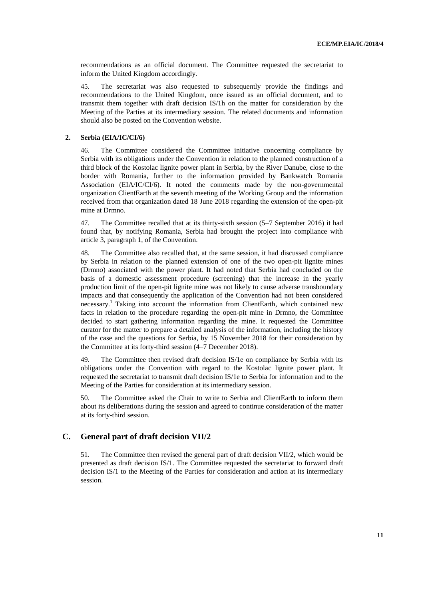recommendations as an official document. The Committee requested the secretariat to inform the United Kingdom accordingly.

45. The secretariat was also requested to subsequently provide the findings and recommendations to the United Kingdom, once issued as an official document, and to transmit them together with draft decision IS/1h on the matter for consideration by the Meeting of the Parties at its intermediary session. The related documents and information should also be posted on the Convention website.

#### **2. Serbia (EIA/IC/CI/6)**

46. The Committee considered the Committee initiative concerning compliance by Serbia with its obligations under the Convention in relation to the planned construction of a third block of the Kostolac lignite power plant in Serbia, by the River Danube, close to the border with Romania, further to the information provided by Bankwatch Romania Association (EIA/IC/CI/6). It noted the comments made by the non-governmental organization ClientEarth at the seventh meeting of the Working Group and the information received from that organization dated 18 June 2018 regarding the extension of the open-pit mine at Drmno.

47. The Committee recalled that at its thirty-sixth session (5–7 September 2016) it had found that, by notifying Romania, Serbia had brought the project into compliance with article 3, paragraph 1, of the Convention.

48. The Committee also recalled that, at the same session, it had discussed compliance by Serbia in relation to the planned extension of one of the two open-pit lignite mines (Drmno) associated with the power plant. It had noted that Serbia had concluded on the basis of a domestic assessment procedure (screening) that the increase in the yearly production limit of the open-pit lignite mine was not likely to cause adverse transboundary impacts and that consequently the application of the Convention had not been considered necessary. <sup>1</sup> Taking into account the information from ClientEarth, which contained new facts in relation to the procedure regarding the open-pit mine in Drmno, the Committee decided to start gathering information regarding the mine. It requested the Committee curator for the matter to prepare a detailed analysis of the information, including the history of the case and the questions for Serbia, by 15 November 2018 for their consideration by the Committee at its forty-third session (4–7 December 2018).

49. The Committee then revised draft decision IS/1e on compliance by Serbia with its obligations under the Convention with regard to the Kostolac lignite power plant. It requested the secretariat to transmit draft decision IS/1e to Serbia for information and to the Meeting of the Parties for consideration at its intermediary session.

50. The Committee asked the Chair to write to Serbia and ClientEarth to inform them about its deliberations during the session and agreed to continue consideration of the matter at its forty-third session.

### **C. General part of draft decision VII/2**

51. The Committee then revised the general part of draft decision VII/2, which would be presented as draft decision IS/1. The Committee requested the secretariat to forward draft decision IS/1 to the Meeting of the Parties for consideration and action at its intermediary session.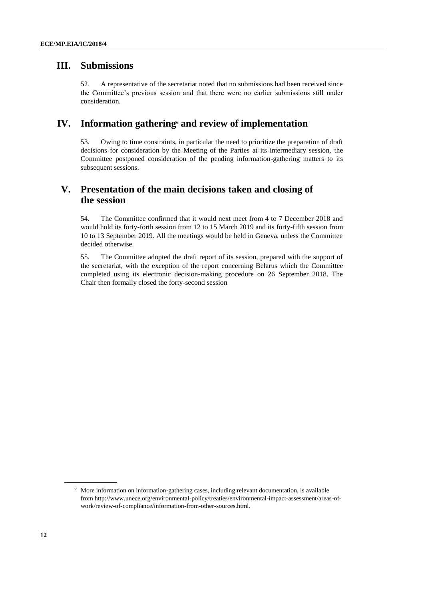### **III. Submissions**

52. A representative of the secretariat noted that no submissions had been received since the Committee's previous session and that there were no earlier submissions still under consideration.

### **IV. Information gathering**<sup>6</sup> **and review of implementation**

53. Owing to time constraints, in particular the need to prioritize the preparation of draft decisions for consideration by the Meeting of the Parties at its intermediary session, the Committee postponed consideration of the pending information-gathering matters to its subsequent sessions.

# **V. Presentation of the main decisions taken and closing of the session**

54. The Committee confirmed that it would next meet from 4 to 7 December 2018 and would hold its forty-forth session from 12 to 15 March 2019 and its forty-fifth session from 10 to 13 September 2019. All the meetings would be held in Geneva, unless the Committee decided otherwise.

55. The Committee adopted the draft report of its session, prepared with the support of the secretariat, with the exception of the report concerning Belarus which the Committee completed using its electronic decision-making procedure on 26 September 2018. The Chair then formally closed the forty-second session

<sup>6</sup> More information on information-gathering cases, including relevant documentation, is available from http://www.unece.org/environmental-policy/treaties/environmental-impact-assessment/areas-ofwork/review-of-compliance/information-from-other-sources.html.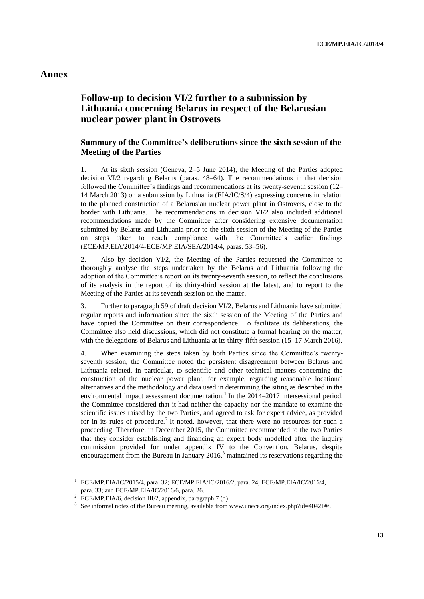### **Annex**

# **Follow-up to decision VI/2 further to a submission by Lithuania concerning Belarus in respect of the Belarusian nuclear power plant in Ostrovets**

### **Summary of the Committee's deliberations since the sixth session of the Meeting of the Parties**

1. At its sixth session (Geneva, 2–5 June 2014), the Meeting of the Parties adopted decision VI/2 regarding Belarus (paras. 48–64). The recommendations in that decision followed the Committee's findings and recommendations at its twenty-seventh session (12– 14 March 2013) on a submission by Lithuania (EIA/IC/S/4) expressing concerns in relation to the planned construction of a Belarusian nuclear power plant in Ostrovets, close to the border with Lithuania. The recommendations in decision VI/2 also included additional recommendations made by the Committee after considering extensive documentation submitted by Belarus and Lithuania prior to the sixth session of the Meeting of the Parties on steps taken to reach compliance with the Committee's earlier findings (ECE/MP.EIA/2014/4-ECE/MP.EIA/SEA/2014/4, paras. 53–56).

2. Also by decision VI/2, the Meeting of the Parties requested the Committee to thoroughly analyse the steps undertaken by the Belarus and Lithuania following the adoption of the Committee's report on its twenty-seventh session, to reflect the conclusions of its analysis in the report of its thirty-third session at the latest, and to report to the Meeting of the Parties at its seventh session on the matter.

3. Further to paragraph 59 of draft decision VI/2, Belarus and Lithuania have submitted regular reports and information since the sixth session of the Meeting of the Parties and have copied the Committee on their correspondence. To facilitate its deliberations, the Committee also held discussions, which did not constitute a formal hearing on the matter, with the delegations of Belarus and Lithuania at its thirty-fifth session (15–17 March 2016).

4. When examining the steps taken by both Parties since the Committee's twentyseventh session, the Committee noted the persistent disagreement between Belarus and Lithuania related, in particular, to scientific and other technical matters concerning the construction of the nuclear power plant, for example, regarding reasonable locational alternatives and the methodology and data used in determining the siting as described in the environmental impact assessment documentation.<sup>1</sup> In the 2014–2017 intersessional period, the Committee considered that it had neither the capacity nor the mandate to examine the scientific issues raised by the two Parties, and agreed to ask for expert advice, as provided for in its rules of procedure.<sup>2</sup> It noted, however, that there were no resources for such a proceeding. Therefore, in December 2015, the Committee recommended to the two Parties that they consider establishing and financing an expert body modelled after the inquiry commission provided for under appendix IV to the Convention. Belarus, despite encouragement from the Bureau in January  $2016<sup>3</sup>$  maintained its reservations regarding the

<sup>&</sup>lt;sup>1</sup> ECE/MP.EIA/IC/2015/4, para. 32; ECE/MP.EIA/IC/2016/2, para. 24; ECE/MP.EIA/IC/2016/4, para. 33; and ECE/MP.EIA/IC/2016/6, para. 26.

<sup>&</sup>lt;sup>2</sup> ECE/MP.EIA/6, decision III/2, appendix, paragraph 7 (d).

<sup>&</sup>lt;sup>3</sup> See informal notes of the Bureau meeting, available from www.unece.org/index.php?id=40421#/.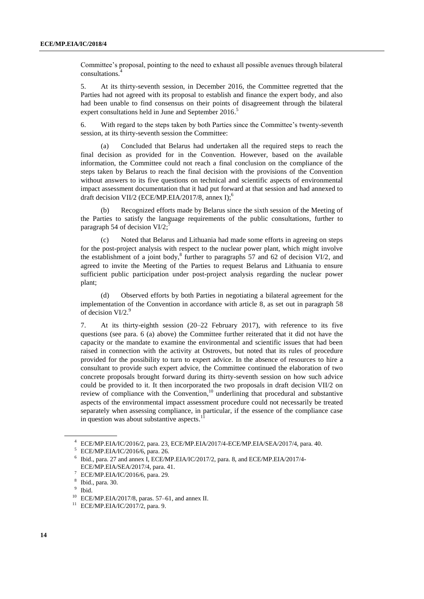Committee's proposal, pointing to the need to exhaust all possible avenues through bilateral consultations. 4

5. At its thirty-seventh session, in December 2016, the Committee regretted that the Parties had not agreed with its proposal to establish and finance the expert body, and also had been unable to find consensus on their points of disagreement through the bilateral expert consultations held in June and September 2016.<sup>5</sup>

6. With regard to the steps taken by both Parties since the Committee's twenty-seventh session, at its thirty-seventh session the Committee:

(a) Concluded that Belarus had undertaken all the required steps to reach the final decision as provided for in the Convention. However, based on the available information, the Committee could not reach a final conclusion on the compliance of the steps taken by Belarus to reach the final decision with the provisions of the Convention without answers to its five questions on technical and scientific aspects of environmental impact assessment documentation that it had put forward at that session and had annexed to draft decision VII/2 (ECE/MP.EIA/2017/8, annex I);<sup>6</sup>

(b) Recognized efforts made by Belarus since the sixth session of the Meeting of the Parties to satisfy the language requirements of the public consultations, further to paragraph 54 of decision  $VI/2$ ;<sup>7</sup>

(c) Noted that Belarus and Lithuania had made some efforts in agreeing on steps for the post-project analysis with respect to the nuclear power plant, which might involve the establishment of a joint body, ${}^{8}$  further to paragraphs 57 and 62 of decision VI/2, and agreed to invite the Meeting of the Parties to request Belarus and Lithuania to ensure sufficient public participation under post-project analysis regarding the nuclear power plant;

(d) Observed efforts by both Parties in negotiating a bilateral agreement for the implementation of the Convention in accordance with article 8, as set out in paragraph 58 of decision VI/2.<sup>9</sup>

7. At its thirty-eighth session (20–22 February 2017), with reference to its five questions (see para. 6 (a) above) the Committee further reiterated that it did not have the capacity or the mandate to examine the environmental and scientific issues that had been raised in connection with the activity at Ostrovets, but noted that its rules of procedure provided for the possibility to turn to expert advice. In the absence of resources to hire a consultant to provide such expert advice, the Committee continued the elaboration of two concrete proposals brought forward during its thirty-seventh session on how such advice could be provided to it. It then incorporated the two proposals in draft decision VII/2 on review of compliance with the Convention,<sup>10</sup> underlining that procedural and substantive aspects of the environmental impact assessment procedure could not necessarily be treated separately when assessing compliance, in particular, if the essence of the compliance case<br>in question was about substantive aspects  $\frac{11}{11}$ in question was about substantive aspects.

<sup>4</sup> ECE/MP.EIA/IC/2016/2, para. 23, ECE/MP.EIA/2017/4-ECE/MP.EIA/SEA/2017/4, para. 40.

<sup>5</sup> ECE/MP.EIA/IC/2016/6, para. 26.

<sup>6</sup> Ibid., para. 27 and annex I, ECE/MP.EIA/IC/2017/2, para. 8, and ECE/MP.EIA/2017/4- ECE/MP.EIA/SEA/2017/4, para. 41.

<sup>7</sup> ECE/MP.EIA/IC/2016/6, para. 29.

<sup>8</sup> Ibid., para. 30.

<sup>&</sup>lt;sup>9</sup> Ibid.

 $10$  ECE/MP.EIA/2017/8, paras. 57–61, and annex II.

<sup>&</sup>lt;sup>11</sup> ECE/MP.EIA/IC/2017/2, para. 9.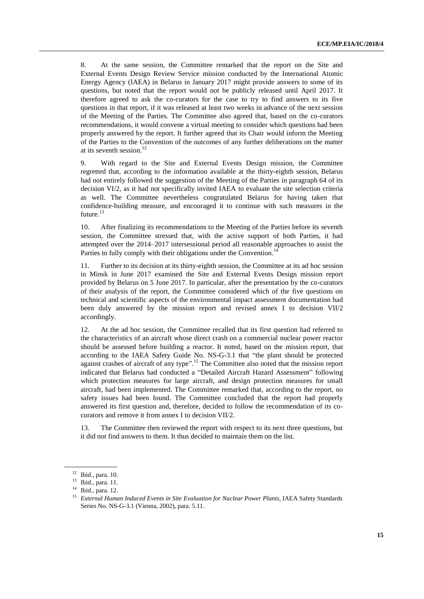8. At the same session, the Committee remarked that the report on the Site and External Events Design Review Service mission conducted by the International Atomic Energy Agency (IAEA) in Belarus in January 2017 might provide answers to some of its questions, but noted that the report would not be publicly released until April 2017. It therefore agreed to ask the co-curators for the case to try to find answers to its five questions in that report, if it was released at least two weeks in advance of the next session of the Meeting of the Parties. The Committee also agreed that, based on the co-curators recommendations, it would convene a virtual meeting to consider which questions had been properly answered by the report. It further agreed that its Chair would inform the Meeting of the Parties to the Convention of the outcomes of any further deliberations on the matter at its seventh session. 12

9. With regard to the Site and External Events Design mission, the Committee regretted that, according to the information available at the thirty-eighth session, Belarus had not entirely followed the suggestion of the Meeting of the Parties in paragraph 64 of its decision VI/2, as it had not specifically invited IAEA to evaluate the site selection criteria as well. The Committee nevertheless congratulated Belarus for having taken that confidence-building measure, and encouraged it to continue with such measures in the future.<sup>13</sup>

10. After finalizing its recommendations to the Meeting of the Parties before its seventh session, the Committee stressed that, with the active support of both Parties, it had attempted over the 2014–2017 intersessional period all reasonable approaches to assist the Parties to fully comply with their obligations under the Convention.<sup>14</sup>

11. Further to its decision at its thirty-eighth session, the Committee at its ad hoc session in Minsk in June 2017 examined the Site and External Events Design mission report provided by Belarus on 5 June 2017. In particular, after the presentation by the co-curators of their analysis of the report, the Committee considered which of the five questions on technical and scientific aspects of the environmental impact assessment documentation had been duly answered by the mission report and revised annex I to decision VII/2 accordingly.

12. At the ad hoc session, the Committee recalled that its first question had referred to the characteristics of an aircraft whose direct crash on a commercial nuclear power reactor should be assessed before building a reactor. It noted, based on the mission report, that according to the IAEA Safety Guide No. NS-G-3.1 that "the plant should be protected against crashes of aircraft of any type".<sup>15</sup> The Committee also noted that the mission report indicated that Belarus had conducted a "Detailed Aircraft Hazard Assessment" following which protection measures for large aircraft, and design protection measures for small aircraft, had been implemented. The Committee remarked that, according to the report, no safety issues had been found. The Committee concluded that the report had properly answered its first question and, therefore, decided to follow the recommendation of its cocurators and remove it from annex I to decision VII/2.

13. The Committee then reviewed the report with respect to its next three questions, but it did not find answers to them. It thus decided to maintain them on the list.

<sup>12</sup> Ibid., para. 10.

<sup>13</sup> Ibid., para. 11.

<sup>14</sup> Ibid., para. 12.

<sup>&</sup>lt;sup>15</sup> External Human Induced Events in Site Evaluation for Nuclear Power Plants, IAEA Safety Standards Series No. NS-G-3.1 (Vienna, 2002), para. 5.11.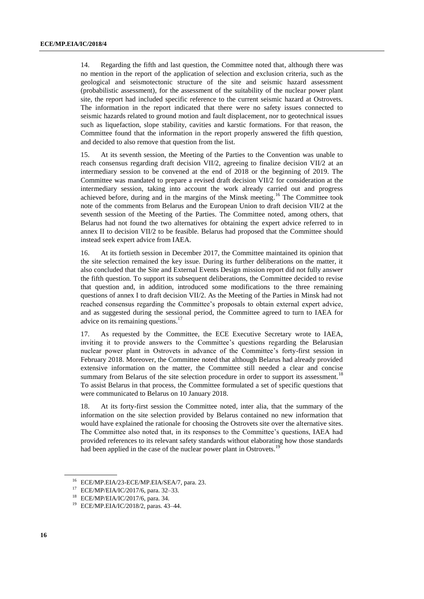14. Regarding the fifth and last question, the Committee noted that, although there was no mention in the report of the application of selection and exclusion criteria, such as the geological and seismotectonic structure of the site and seismic hazard assessment (probabilistic assessment), for the assessment of the suitability of the nuclear power plant site, the report had included specific reference to the current seismic hazard at Ostrovets. The information in the report indicated that there were no safety issues connected to seismic hazards related to ground motion and fault displacement, nor to geotechnical issues such as liquefaction, slope stability, cavities and karstic formations. For that reason, the Committee found that the information in the report properly answered the fifth question, and decided to also remove that question from the list.

15. At its seventh session, the Meeting of the Parties to the Convention was unable to reach consensus regarding draft decision VII/2, agreeing to finalize decision VII/2 at an intermediary session to be convened at the end of 2018 or the beginning of 2019. The Committee was mandated to prepare a revised draft decision VII/2 for consideration at the intermediary session, taking into account the work already carried out and progress achieved before, during and in the margins of the Minsk meeting.<sup>16</sup> The Committee took note of the comments from Belarus and the European Union to draft decision VII/2 at the seventh session of the Meeting of the Parties. The Committee noted, among others, that Belarus had not found the two alternatives for obtaining the expert advice referred to in annex II to decision VII/2 to be feasible. Belarus had proposed that the Committee should instead seek expert advice from IAEA.

16. At its fortieth session in December 2017, the Committee maintained its opinion that the site selection remained the key issue. During its further deliberations on the matter, it also concluded that the Site and External Events Design mission report did not fully answer the fifth question. To support its subsequent deliberations, the Committee decided to revise that question and, in addition, introduced some modifications to the three remaining questions of annex I to draft decision VII/2. As the Meeting of the Parties in Minsk had not reached consensus regarding the Committee's proposals to obtain external expert advice, and as suggested during the sessional period, the Committee agreed to turn to IAEA for advice on its remaining questions.<sup>17</sup>

17. As requested by the Committee, the ECE Executive Secretary wrote to IAEA, inviting it to provide answers to the Committee's questions regarding the Belarusian nuclear power plant in Ostrovets in advance of the Committee's forty-first session in February 2018. Moreover, the Committee noted that although Belarus had already provided extensive information on the matter, the Committee still needed a clear and concise summary from Belarus of the site selection procedure in order to support its assessment.<sup>18</sup> To assist Belarus in that process, the Committee formulated a set of specific questions that were communicated to Belarus on 10 January 2018.

18. At its forty-first session the Committee noted, inter alia, that the summary of the information on the site selection provided by Belarus contained no new information that would have explained the rationale for choosing the Ostrovets site over the alternative sites. The Committee also noted that, in its responses to the Committee's questions, IAEA had provided references to its relevant safety standards without elaborating how those standards had been applied in the case of the nuclear power plant in Ostrovets.<sup>19</sup>

<sup>&</sup>lt;sup>16</sup> ECE/MP.EIA/23-ECE/MP.EIA/SEA/7, para. 23.

<sup>17</sup> ECE/MP/EIA/IC/2017/6, para. 32–33.

<sup>18</sup> ECE/MP/EIA/IC/2017/6, para. 34.

<sup>19</sup> ECE/MP.EIA/IC/2018/2, paras. 43–44.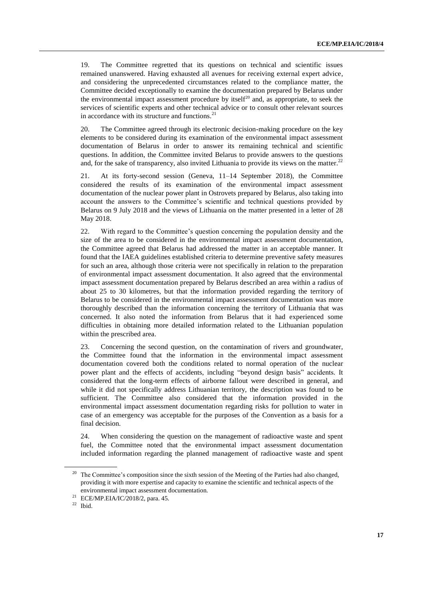19. The Committee regretted that its questions on technical and scientific issues remained unanswered. Having exhausted all avenues for receiving external expert advice, and considering the unprecedented circumstances related to the compliance matter, the Committee decided exceptionally to examine the documentation prepared by Belarus under the environmental impact assessment procedure by itself<sup>20</sup> and, as appropriate, to seek the services of scientific experts and other technical advice or to consult other relevant sources in accordance with its structure and functions.<sup>21</sup>

20. The Committee agreed through its electronic decision-making procedure on the key elements to be considered during its examination of the environmental impact assessment documentation of Belarus in order to answer its remaining technical and scientific questions. In addition, the Committee invited Belarus to provide answers to the questions and, for the sake of transparency, also invited Lithuania to provide its views on the matter.<sup>22</sup>

21. At its forty-second session (Geneva, 11–14 September 2018), the Committee considered the results of its examination of the environmental impact assessment documentation of the nuclear power plant in Ostrovets prepared by Belarus, also taking into account the answers to the Committee's scientific and technical questions provided by Belarus on 9 July 2018 and the views of Lithuania on the matter presented in a letter of 28 May 2018.

22. With regard to the Committee's question concerning the population density and the size of the area to be considered in the environmental impact assessment documentation, the Committee agreed that Belarus had addressed the matter in an acceptable manner. It found that the IAEA guidelines established criteria to determine preventive safety measures for such an area, although those criteria were not specifically in relation to the preparation of environmental impact assessment documentation. It also agreed that the environmental impact assessment documentation prepared by Belarus described an area within a radius of about 25 to 30 kilometres, but that the information provided regarding the territory of Belarus to be considered in the environmental impact assessment documentation was more thoroughly described than the information concerning the territory of Lithuania that was concerned. It also noted the information from Belarus that it had experienced some difficulties in obtaining more detailed information related to the Lithuanian population within the prescribed area.

23. Concerning the second question, on the contamination of rivers and groundwater, the Committee found that the information in the environmental impact assessment documentation covered both the conditions related to normal operation of the nuclear power plant and the effects of accidents, including "beyond design basis" accidents. It considered that the long-term effects of airborne fallout were described in general, and while it did not specifically address Lithuanian territory, the description was found to be sufficient. The Committee also considered that the information provided in the environmental impact assessment documentation regarding risks for pollution to water in case of an emergency was acceptable for the purposes of the Convention as a basis for a final decision.

24. When considering the question on the management of radioactive waste and spent fuel, the Committee noted that the environmental impact assessment documentation included information regarding the planned management of radioactive waste and spent

<sup>&</sup>lt;sup>20</sup> The Committee's composition since the sixth session of the Meeting of the Parties had also changed, providing it with more expertise and capacity to examine the scientific and technical aspects of the environmental impact assessment documentation.

<sup>21</sup> ECE/MP.EIA/IC/2018/2, para. 45.

 $22$  Ibid.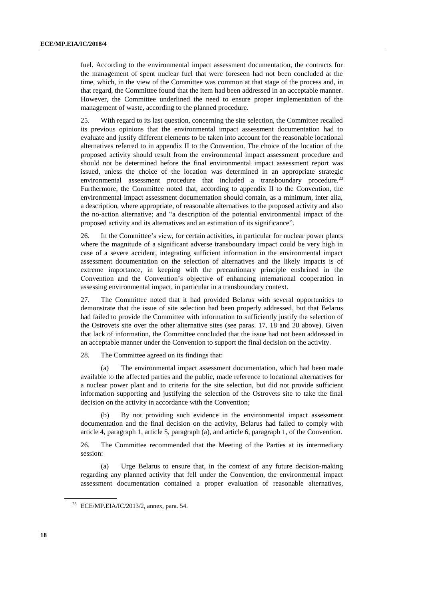fuel. According to the environmental impact assessment documentation, the contracts for the management of spent nuclear fuel that were foreseen had not been concluded at the time, which, in the view of the Committee was common at that stage of the process and, in that regard, the Committee found that the item had been addressed in an acceptable manner. However, the Committee underlined the need to ensure proper implementation of the management of waste, according to the planned procedure.

25. With regard to its last question, concerning the site selection, the Committee recalled its previous opinions that the environmental impact assessment documentation had to evaluate and justify different elements to be taken into account for the reasonable locational alternatives referred to in appendix II to the Convention. The choice of the location of the proposed activity should result from the environmental impact assessment procedure and should not be determined before the final environmental impact assessment report was issued, unless the choice of the location was determined in an appropriate strategic environmental assessment procedure that included a transboundary procedure.<sup>23</sup> Furthermore, the Committee noted that, according to appendix II to the Convention, the environmental impact assessment documentation should contain, as a minimum, inter alia, a description, where appropriate, of reasonable alternatives to the proposed activity and also the no-action alternative; and "a description of the potential environmental impact of the proposed activity and its alternatives and an estimation of its significance".

26. In the Committee's view, for certain activities, in particular for nuclear power plants where the magnitude of a significant adverse transboundary impact could be very high in case of a severe accident, integrating sufficient information in the environmental impact assessment documentation on the selection of alternatives and the likely impacts is of extreme importance, in keeping with the precautionary principle enshrined in the Convention and the Convention's objective of enhancing international cooperation in assessing environmental impact, in particular in a transboundary context.

27. The Committee noted that it had provided Belarus with several opportunities to demonstrate that the issue of site selection had been properly addressed, but that Belarus had failed to provide the Committee with information to sufficiently justify the selection of the Ostrovets site over the other alternative sites (see paras. 17, 18 and 20 above). Given that lack of information, the Committee concluded that the issue had not been addressed in an acceptable manner under the Convention to support the final decision on the activity.

28. The Committee agreed on its findings that:

(a) The environmental impact assessment documentation, which had been made available to the affected parties and the public, made reference to locational alternatives for a nuclear power plant and to criteria for the site selection, but did not provide sufficient information supporting and justifying the selection of the Ostrovets site to take the final decision on the activity in accordance with the Convention;

(b) By not providing such evidence in the environmental impact assessment documentation and the final decision on the activity, Belarus had failed to comply with article 4, paragraph 1, article 5, paragraph (a), and article 6, paragraph 1, of the Convention.

26. The Committee recommended that the Meeting of the Parties at its intermediary session:

(a) Urge Belarus to ensure that, in the context of any future decision-making regarding any planned activity that fell under the Convention, the environmental impact assessment documentation contained a proper evaluation of reasonable alternatives,

<sup>&</sup>lt;sup>23</sup> ECE/MP.EIA/IC/2013/2, annex, para. 54.